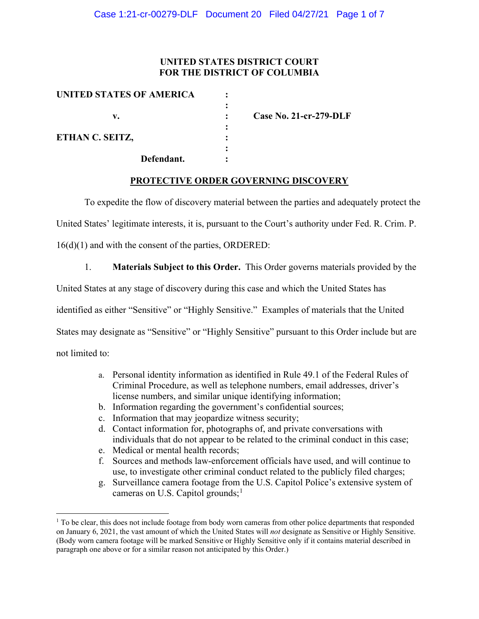## **UNITED STATES DISTRICT COURT FOR THE DISTRICT OF COLUMBIA**

| <b>Case No. 21-cr-279-DLF</b> |
|-------------------------------|
|                               |
|                               |
|                               |

#### **PROTECTIVE ORDER GOVERNING DISCOVERY**

To expedite the flow of discovery material between the parties and adequately protect the

United States' legitimate interests, it is, pursuant to the Court's authority under Fed. R. Crim. P.

16(d)(1) and with the consent of the parties, ORDERED:

1. **Materials Subject to this Order.** This Order governs materials provided by the

United States at any stage of discovery during this case and which the United States has

identified as either "Sensitive" or "Highly Sensitive." Examples of materials that the United

States may designate as "Sensitive" or "Highly Sensitive" pursuant to this Order include but are

not limited to:

- a. Personal identity information as identified in Rule 49.1 of the Federal Rules of Criminal Procedure, as well as telephone numbers, email addresses, driver's license numbers, and similar unique identifying information;
- b. Information regarding the government's confidential sources;
- c. Information that may jeopardize witness security;
- d. Contact information for, photographs of, and private conversations with individuals that do not appear to be related to the criminal conduct in this case;
- e. Medical or mental health records;
- f. Sources and methods law-enforcement officials have used, and will continue to use, to investigate other criminal conduct related to the publicly filed charges;
- g. Surveillance camera footage from the U.S. Capitol Police's extensive system of cameras on U.S. Capitol grounds; $<sup>1</sup>$ </sup>

 $1$  To be clear, this does not include footage from body worn cameras from other police departments that responded on January 6, 2021, the vast amount of which the United States will *not* designate as Sensitive or Highly Sensitive. (Body worn camera footage will be marked Sensitive or Highly Sensitive only if it contains material described in paragraph one above or for a similar reason not anticipated by this Order.)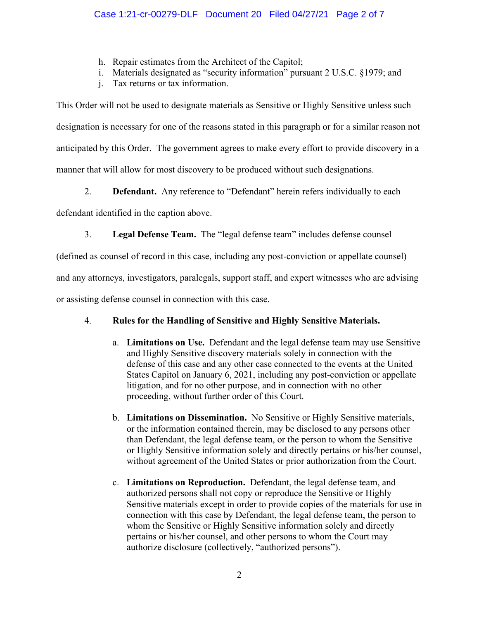- h. Repair estimates from the Architect of the Capitol;
- i. Materials designated as "security information" pursuant 2 U.S.C. §1979; and
- j. Tax returns or tax information.

This Order will not be used to designate materials as Sensitive or Highly Sensitive unless such designation is necessary for one of the reasons stated in this paragraph or for a similar reason not anticipated by this Order. The government agrees to make every effort to provide discovery in a manner that will allow for most discovery to be produced without such designations.

2. **Defendant.** Any reference to "Defendant" herein refers individually to each

defendant identified in the caption above.

3. **Legal Defense Team.** The "legal defense team" includes defense counsel

(defined as counsel of record in this case, including any post-conviction or appellate counsel)

and any attorneys, investigators, paralegals, support staff, and expert witnesses who are advising

or assisting defense counsel in connection with this case.

# 4. **Rules for the Handling of Sensitive and Highly Sensitive Materials.**

- a. **Limitations on Use.** Defendant and the legal defense team may use Sensitive and Highly Sensitive discovery materials solely in connection with the defense of this case and any other case connected to the events at the United States Capitol on January 6, 2021, including any post-conviction or appellate litigation, and for no other purpose, and in connection with no other proceeding, without further order of this Court.
- b. **Limitations on Dissemination.** No Sensitive or Highly Sensitive materials, or the information contained therein, may be disclosed to any persons other than Defendant, the legal defense team, or the person to whom the Sensitive or Highly Sensitive information solely and directly pertains or his/her counsel, without agreement of the United States or prior authorization from the Court.
- c. **Limitations on Reproduction.** Defendant, the legal defense team, and authorized persons shall not copy or reproduce the Sensitive or Highly Sensitive materials except in order to provide copies of the materials for use in connection with this case by Defendant, the legal defense team, the person to whom the Sensitive or Highly Sensitive information solely and directly pertains or his/her counsel, and other persons to whom the Court may authorize disclosure (collectively, "authorized persons").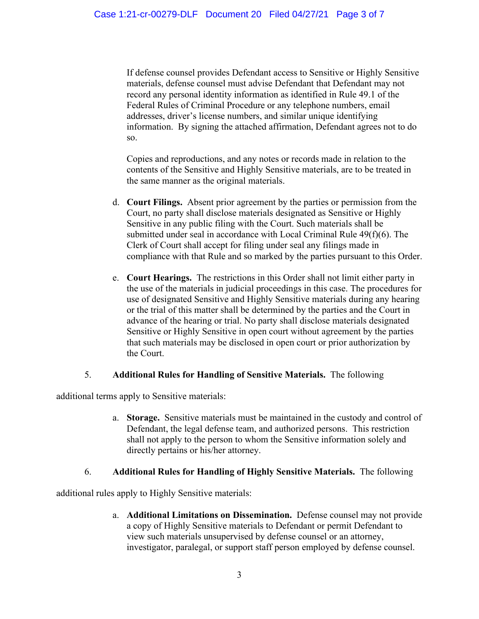If defense counsel provides Defendant access to Sensitive or Highly Sensitive materials, defense counsel must advise Defendant that Defendant may not record any personal identity information as identified in Rule 49.1 of the Federal Rules of Criminal Procedure or any telephone numbers, email addresses, driver's license numbers, and similar unique identifying information. By signing the attached affirmation, Defendant agrees not to do so.

Copies and reproductions, and any notes or records made in relation to the contents of the Sensitive and Highly Sensitive materials, are to be treated in the same manner as the original materials.

- d. **Court Filings.** Absent prior agreement by the parties or permission from the Court, no party shall disclose materials designated as Sensitive or Highly Sensitive in any public filing with the Court. Such materials shall be submitted under seal in accordance with Local Criminal Rule 49(f)(6). The Clerk of Court shall accept for filing under seal any filings made in compliance with that Rule and so marked by the parties pursuant to this Order.
- e. **Court Hearings.** The restrictions in this Order shall not limit either party in the use of the materials in judicial proceedings in this case. The procedures for use of designated Sensitive and Highly Sensitive materials during any hearing or the trial of this matter shall be determined by the parties and the Court in advance of the hearing or trial. No party shall disclose materials designated Sensitive or Highly Sensitive in open court without agreement by the parties that such materials may be disclosed in open court or prior authorization by the Court.

#### 5. **Additional Rules for Handling of Sensitive Materials.** The following

additional terms apply to Sensitive materials:

a. **Storage.** Sensitive materials must be maintained in the custody and control of Defendant, the legal defense team, and authorized persons. This restriction shall not apply to the person to whom the Sensitive information solely and directly pertains or his/her attorney.

#### 6. **Additional Rules for Handling of Highly Sensitive Materials.** The following

additional rules apply to Highly Sensitive materials:

a. **Additional Limitations on Dissemination.** Defense counsel may not provide a copy of Highly Sensitive materials to Defendant or permit Defendant to view such materials unsupervised by defense counsel or an attorney, investigator, paralegal, or support staff person employed by defense counsel.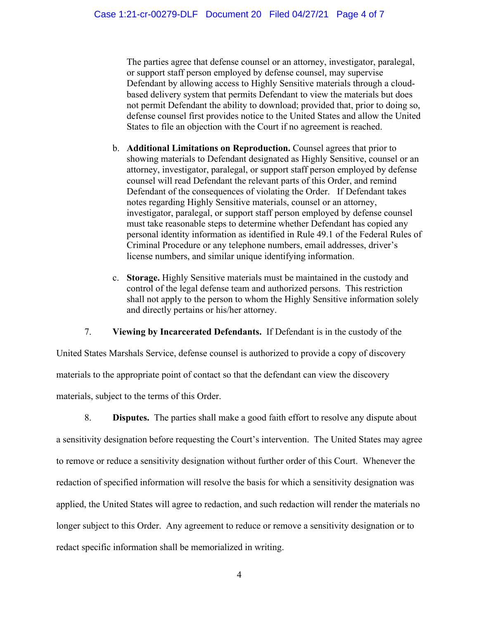The parties agree that defense counsel or an attorney, investigator, paralegal, or support staff person employed by defense counsel, may supervise Defendant by allowing access to Highly Sensitive materials through a cloudbased delivery system that permits Defendant to view the materials but does not permit Defendant the ability to download; provided that, prior to doing so, defense counsel first provides notice to the United States and allow the United States to file an objection with the Court if no agreement is reached.

- b. **Additional Limitations on Reproduction.** Counsel agrees that prior to showing materials to Defendant designated as Highly Sensitive, counsel or an attorney, investigator, paralegal, or support staff person employed by defense counsel will read Defendant the relevant parts of this Order, and remind Defendant of the consequences of violating the Order. If Defendant takes notes regarding Highly Sensitive materials, counsel or an attorney, investigator, paralegal, or support staff person employed by defense counsel must take reasonable steps to determine whether Defendant has copied any personal identity information as identified in Rule 49.1 of the Federal Rules of Criminal Procedure or any telephone numbers, email addresses, driver's license numbers, and similar unique identifying information.
- c. **Storage.** Highly Sensitive materials must be maintained in the custody and control of the legal defense team and authorized persons. This restriction shall not apply to the person to whom the Highly Sensitive information solely and directly pertains or his/her attorney.

7. **Viewing by Incarcerated Defendants.** If Defendant is in the custody of the

United States Marshals Service, defense counsel is authorized to provide a copy of discovery materials to the appropriate point of contact so that the defendant can view the discovery materials, subject to the terms of this Order.

8. **Disputes.** The parties shall make a good faith effort to resolve any dispute about a sensitivity designation before requesting the Court's intervention. The United States may agree to remove or reduce a sensitivity designation without further order of this Court. Whenever the redaction of specified information will resolve the basis for which a sensitivity designation was applied, the United States will agree to redaction, and such redaction will render the materials no longer subject to this Order. Any agreement to reduce or remove a sensitivity designation or to redact specific information shall be memorialized in writing.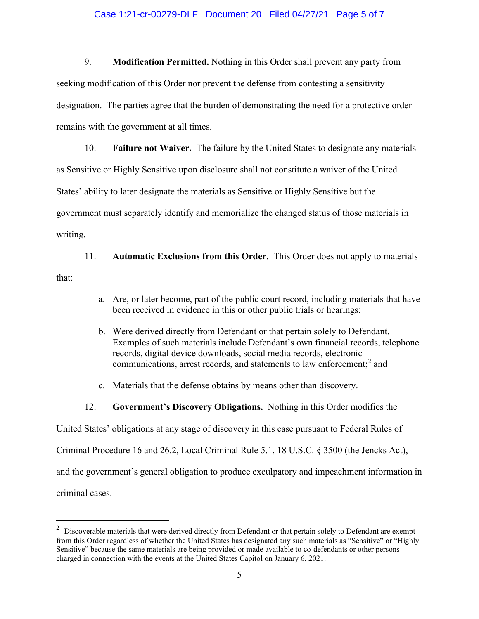#### Case 1:21-cr-00279-DLF Document 20 Filed 04/27/21 Page 5 of 7

9. **Modification Permitted.** Nothing in this Order shall prevent any party from seeking modification of this Order nor prevent the defense from contesting a sensitivity designation. The parties agree that the burden of demonstrating the need for a protective order remains with the government at all times.

10. **Failure not Waiver.** The failure by the United States to designate any materials as Sensitive or Highly Sensitive upon disclosure shall not constitute a waiver of the United States' ability to later designate the materials as Sensitive or Highly Sensitive but the government must separately identify and memorialize the changed status of those materials in writing.

11. **Automatic Exclusions from this Order.** This Order does not apply to materials that:

- a. Are, or later become, part of the public court record, including materials that have been received in evidence in this or other public trials or hearings;
- b. Were derived directly from Defendant or that pertain solely to Defendant. Examples of such materials include Defendant's own financial records, telephone records, digital device downloads, social media records, electronic communications, arrest records, and statements to law enforcement;<sup>2</sup> and
- c. Materials that the defense obtains by means other than discovery.
- 12. **Government's Discovery Obligations.** Nothing in this Order modifies the

United States' obligations at any stage of discovery in this case pursuant to Federal Rules of

Criminal Procedure 16 and 26.2, Local Criminal Rule 5.1, 18 U.S.C. § 3500 (the Jencks Act),

and the government's general obligation to produce exculpatory and impeachment information in

criminal cases.

 $2$  Discoverable materials that were derived directly from Defendant or that pertain solely to Defendant are exempt from this Order regardless of whether the United States has designated any such materials as "Sensitive" or "Highly Sensitive" because the same materials are being provided or made available to co-defendants or other persons charged in connection with the events at the United States Capitol on January 6, 2021.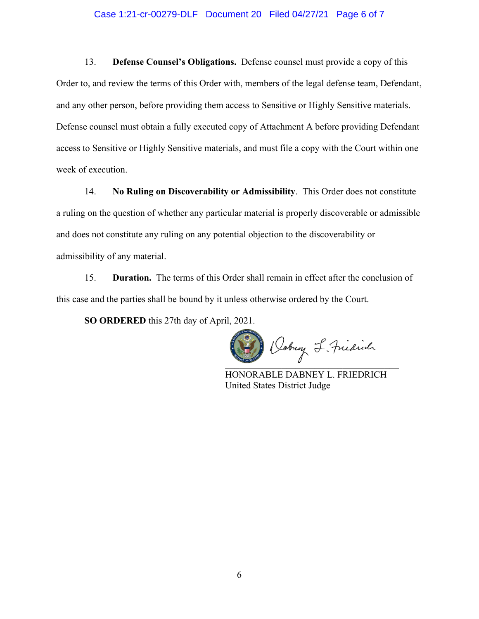#### Case 1:21-cr-00279-DLF Document 20 Filed 04/27/21 Page 6 of 7

13. **Defense Counsel's Obligations.** Defense counsel must provide a copy of this Order to, and review the terms of this Order with, members of the legal defense team, Defendant, and any other person, before providing them access to Sensitive or Highly Sensitive materials. Defense counsel must obtain a fully executed copy of Attachment A before providing Defendant access to Sensitive or Highly Sensitive materials, and must file a copy with the Court within one week of execution.

14. **No Ruling on Discoverability or Admissibility**. This Order does not constitute a ruling on the question of whether any particular material is properly discoverable or admissible and does not constitute any ruling on any potential objection to the discoverability or admissibility of any material.

15. **Duration.** The terms of this Order shall remain in effect after the conclusion of this case and the parties shall be bound by it unless otherwise ordered by the Court.

**SO ORDERED** this 27th day of April, 2021.

 $\overline{u}$ 

HONORABLE DABNEY L. FRIEDRICH United States District Judge